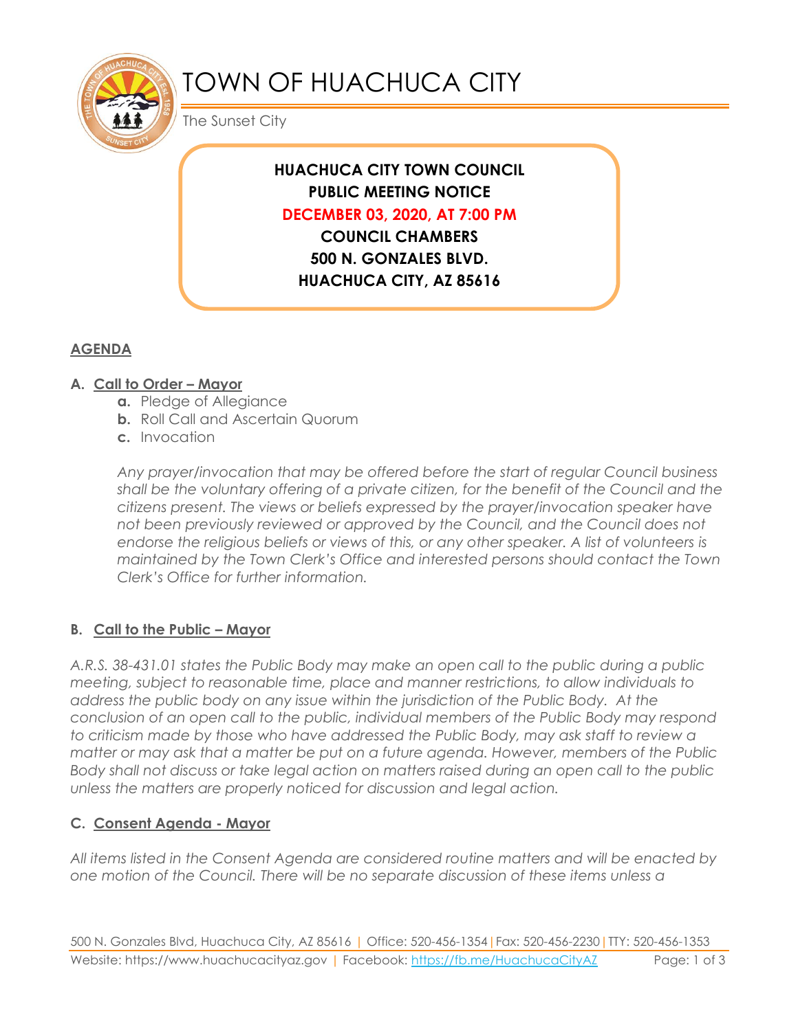

# TOWN OF HUACHUCA CITY

The Sunset City

# **HUACHUCA CITY TOWN COUNCIL PUBLIC MEETING NOTICE DECEMBER 03, 2020, AT 7:00 PM**

**COUNCIL CHAMBERS 500 N. GONZALES BLVD. HUACHUCA CITY, AZ 85616**

### **AGENDA**

#### **A. Call to Order – Mayor**

- **a.** Pledge of Allegiance
- **b.** Roll Call and Ascertain Quorum
- **c.** Invocation

*Any prayer/invocation that may be offered before the start of regular Council business shall be the voluntary offering of a private citizen, for the benefit of the Council and the citizens present. The views or beliefs expressed by the prayer/invocation speaker have not been previously reviewed or approved by the Council, and the Council does not endorse the religious beliefs or views of this, or any other speaker. A list of volunteers is maintained by the Town Clerk's Office and interested persons should contact the Town Clerk's Office for further information.*

#### **B. Call to the Public – Mayor**

*A.R.S. 38-431.01 states the Public Body may make an open call to the public during a public meeting, subject to reasonable time, place and manner restrictions, to allow individuals to address the public body on any issue within the jurisdiction of the Public Body. At the conclusion of an open call to the public, individual members of the Public Body may respond to criticism made by those who have addressed the Public Body, may ask staff to review a matter or may ask that a matter be put on a future agenda. However, members of the Public Body shall not discuss or take legal action on matters raised during an open call to the public unless the matters are properly noticed for discussion and legal action.*

#### **C. Consent Agenda - Mayor**

*All items listed in the Consent Agenda are considered routine matters and will be enacted by one motion of the Council. There will be no separate discussion of these items unless a*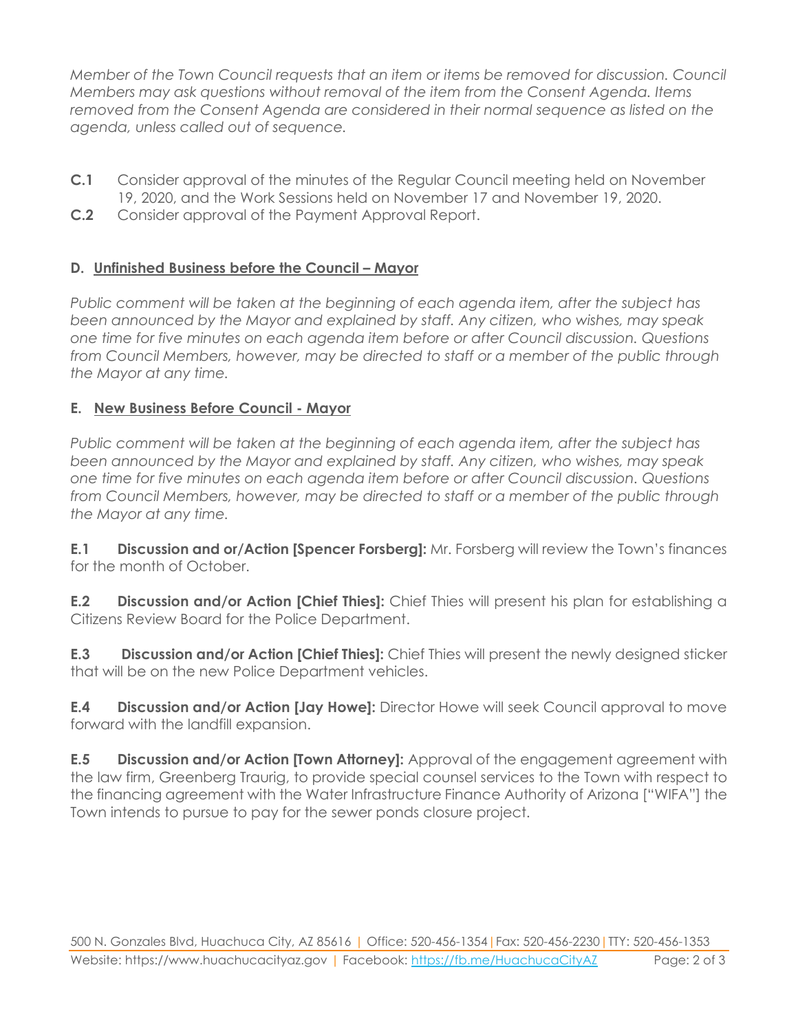*Member of the Town Council requests that an item or items be removed for discussion. Council Members may ask questions without removal of the item from the Consent Agenda. Items removed from the Consent Agenda are considered in their normal sequence as listed on the agenda, unless called out of sequence.*

- **C.1** Consider approval of the minutes of the Regular Council meeting held on November 19, 2020, and the Work Sessions held on November 17 and November 19, 2020.
- **C.2** Consider approval of the Payment Approval Report.

#### **D. Unfinished Business before the Council – Mayor**

*Public comment will be taken at the beginning of each agenda item, after the subject has been announced by the Mayor and explained by staff. Any citizen, who wishes, may speak one time for five minutes on each agenda item before or after Council discussion. Questions from Council Members, however, may be directed to staff or a member of the public through the Mayor at any time.*

#### **E. New Business Before Council - Mayor**

*Public comment will be taken at the beginning of each agenda item, after the subject has been announced by the Mayor and explained by staff. Any citizen, who wishes, may speak one time for five minutes on each agenda item before or after Council discussion. Questions from Council Members, however, may be directed to staff or a member of the public through the Mayor at any time.* 

**E.1 Discussion and or/Action [Spencer Forsberg]:** Mr. Forsberg will review the Town's finances for the month of October.

**E.2 Discussion and/or Action [Chief Thies]:** Chief Thies will present his plan for establishing a Citizens Review Board for the Police Department.

**E.3 Discussion and/or Action [Chief Thies]:** Chief Thies will present the newly designed sticker that will be on the new Police Department vehicles.

**E.4 Discussion and/or Action [Jay Howe]:** Director Howe will seek Council approval to move forward with the landfill expansion.

**E.5 Discussion and/or Action [Town Attorney]:** Approval of the engagement agreement with the law firm, Greenberg Traurig, to provide special counsel services to the Town with respect to the financing agreement with the Water Infrastructure Finance Authority of Arizona ["WIFA"] the Town intends to pursue to pay for the sewer ponds closure project.